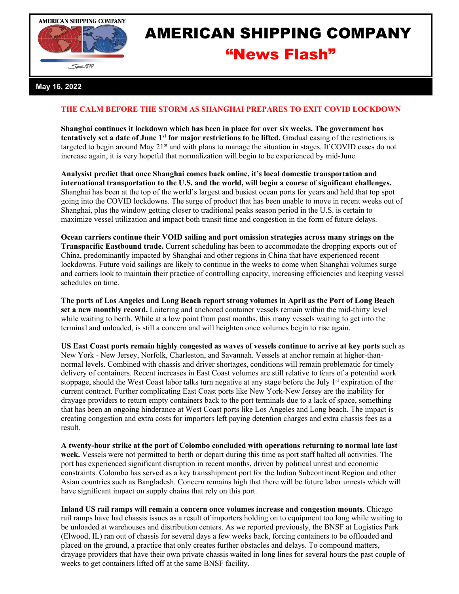



## AMERICAN SHIPPING COMPANY "News Flash"

## **May 16, 2022**

## **THE CALM BEFORE THE STORM AS SHANGHAI PREPARES TO EXIT COVID LOCKDOWN**

**Shanghai continues it lockdown which has been in place for over six weeks. The government has tentatively set a date of June 1st for major restrictions to be lifted.** Gradual easing of the restrictions is targeted to begin around May  $21<sup>st</sup>$  and with plans to manage the situation in stages. If COVID cases do not increase again, it is very hopeful that normalization will begin to be experienced by mid-June.

**Analysist predict that once Shanghai comes back online, it's local domestic transportation and international transportation to the U.S. and the world, will begin a course of significant challenges.** Shanghai has been at the top of the world's largest and busiest ocean ports for years and held that top spot going into the COVID lockdowns. The surge of product that has been unable to move in recent weeks out of Shanghai, plus the window getting closer to traditional peaks season period in the U.S. is certain to maximize vessel utilization and impact both transit time and congestion in the form of future delays.

**Ocean carriers continue their VOID sailing and port omission strategies across many strings on the Transpacific Eastbound trade.** Current scheduling has been to accommodate the dropping exports out of China, predominantly impacted by Shanghai and other regions in China that have experienced recent lockdowns. Future void sailings are likely to continue in the weeks to come when Shanghai volumes surge and carriers look to maintain their practice of controlling capacity, increasing efficiencies and keeping vessel schedules on time.

**The ports of Los Angeles and Long Beach report strong volumes in April as the Port of Long Beach set a new monthly record.** Loitering and anchored container vessels remain within the mid-thirty level while waiting to berth. While at a low point from past months, this many vessels waiting to get into the terminal and unloaded, is still a concern and will heighten once volumes begin to rise again.

**US East Coast ports remain highly congested as waves of vessels continue to arrive at key ports** such as New York - New Jersey, Norfolk, Charleston, and Savannah. Vessels at anchor remain at higher-thannormal levels. Combined with chassis and driver shortages, conditions will remain problematic for timely delivery of containers. Recent increases in East Coast volumes are still relative to fears of a potential work stoppage, should the West Coast labor talks turn negative at any stage before the July 1<sup>st</sup> expiration of the current contract. Further complicating East Coast ports like New York-New Jersey are the inability for drayage providers to return empty containers back to the port terminals due to a lack of space, something that has been an ongoing hinderance at West Coast ports like Los Angeles and Long beach. The impact is creating congestion and extra costs for importers left paying detention charges and extra chassis fees as a result.

**A twenty-hour strike at the port of Colombo concluded with operations returning to normal late last week.** Vessels were not permitted to berth or depart during this time as port staff halted all activities. The port has experienced significant disruption in recent months, driven by political unrest and economic constraints. Colombo has served as a key transshipment port for the Indian Subcontinent Region and other Asian countries such as Bangladesh. Concern remains high that there will be future labor unrests which will have significant impact on supply chains that rely on this port.

**Inland US rail ramps will remain a concern once volumes increase and congestion mounts**. Chicago rail ramps have had chassis issues as a result of importers holding on to equipment too long while waiting to be unloaded at warehouses and distribution centers. As we reported previously, the BNSF at Logistics Park (Elwood, IL) ran out of chassis for several days a few weeks back, forcing containers to be offloaded and placed on the ground, a practice that only creates further obstacles and delays. To compound matters, drayage providers that have their own private chassis waited in long lines for several hours the past couple of weeks to get containers lifted off at the same BNSF facility.